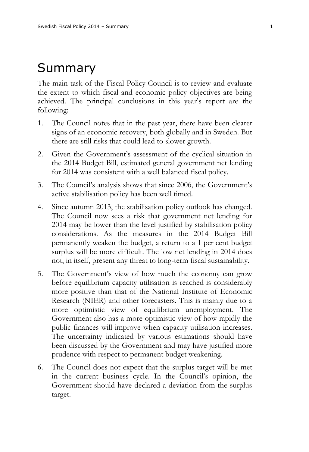## Summary

The main task of the Fiscal Policy Council is to review and evaluate the extent to which fiscal and economic policy objectives are being achieved. The principal conclusions in this year's report are the following:

- 1. The Council notes that in the past year, there have been clearer signs of an economic recovery, both globally and in Sweden. But there are still risks that could lead to slower growth.
- 2. Given the Government's assessment of the cyclical situation in the 2014 Budget Bill, estimated general government net lending for 2014 was consistent with a well balanced fiscal policy.
- 3. The Council's analysis shows that since 2006, the Government's active stabilisation policy has been well timed.
- 4. Since autumn 2013, the stabilisation policy outlook has changed. The Council now sees a risk that government net lending for 2014 may be lower than the level justified by stabilisation policy considerations. As the measures in the 2014 Budget Bill permanently weaken the budget, a return to a 1 per cent budget surplus will be more difficult. The low net lending in 2014 does not, in itself, present any threat to long-term fiscal sustainability.
- 5. The Government's view of how much the economy can grow before equilibrium capacity utilisation is reached is considerably more positive than that of the National Institute of Economic Research (NIER) and other forecasters. This is mainly due to a more optimistic view of equilibrium unemployment. The Government also has a more optimistic view of how rapidly the public finances will improve when capacity utilisation increases. The uncertainty indicated by various estimations should have been discussed by the Government and may have justified more prudence with respect to permanent budget weakening.
- 6. The Council does not expect that the surplus target will be met in the current business cycle. In the Council's opinion, the Government should have declared a deviation from the surplus target.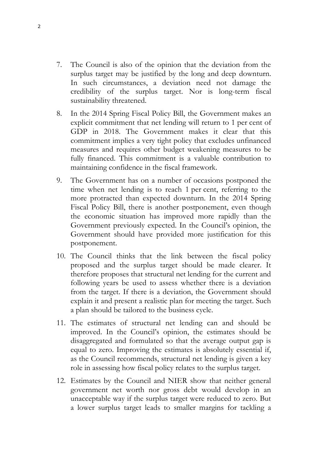- 7. The Council is also of the opinion that the deviation from the surplus target may be justified by the long and deep downturn. In such circumstances, a deviation need not damage the credibility of the surplus target. Nor is long-term fiscal sustainability threatened.
- 8. In the 2014 Spring Fiscal Policy Bill, the Government makes an explicit commitment that net lending will return to 1 per cent of GDP in 2018. The Government makes it clear that this commitment implies a very tight policy that excludes unfinanced measures and requires other budget weakening measures to be fully financed. This commitment is a valuable contribution to maintaining confidence in the fiscal framework.
- 9. The Government has on a number of occasions postponed the time when net lending is to reach 1 per cent, referring to the more protracted than expected downturn. In the 2014 Spring Fiscal Policy Bill, there is another postponement, even though the economic situation has improved more rapidly than the Government previously expected. In the Council's opinion, the Government should have provided more justification for this postponement.
- 10. The Council thinks that the link between the fiscal policy proposed and the surplus target should be made clearer. It therefore proposes that structural net lending for the current and following years be used to assess whether there is a deviation from the target. If there is a deviation, the Government should explain it and present a realistic plan for meeting the target. Such a plan should be tailored to the business cycle.
- 11. The estimates of structural net lending can and should be improved. In the Council's opinion, the estimates should be disaggregated and formulated so that the average output gap is equal to zero. Improving the estimates is absolutely essential if, as the Council recommends, structural net lending is given a key role in assessing how fiscal policy relates to the surplus target.
- 12. Estimates by the Council and NIER show that neither general government net worth nor gross debt would develop in an unacceptable way if the surplus target were reduced to zero. But a lower surplus target leads to smaller margins for tackling a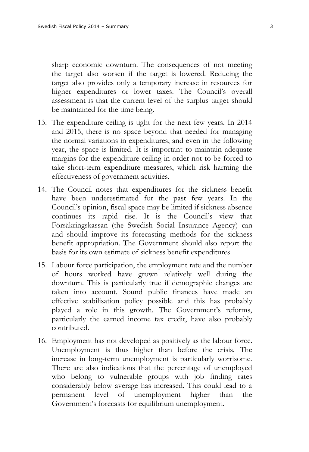sharp economic downturn. The consequences of not meeting the target also worsen if the target is lowered. Reducing the target also provides only a temporary increase in resources for higher expenditures or lower taxes. The Council's overall assessment is that the current level of the surplus target should be maintained for the time being.

- 13. The expenditure ceiling is tight for the next few years. In 2014 and 2015, there is no space beyond that needed for managing the normal variations in expenditures, and even in the following year, the space is limited. It is important to maintain adequate margins for the expenditure ceiling in order not to be forced to take short-term expenditure measures, which risk harming the effectiveness of government activities.
- 14. The Council notes that expenditures for the sickness benefit have been underestimated for the past few years. In the Council's opinion, fiscal space may be limited if sickness absence continues its rapid rise. It is the Council's view that Försäkringskassan (the Swedish Social Insurance Agency) can and should improve its forecasting methods for the sickness benefit appropriation. The Government should also report the basis for its own estimate of sickness benefit expenditures.
- 15. Labour force participation, the employment rate and the number of hours worked have grown relatively well during the downturn. This is particularly true if demographic changes are taken into account. Sound public finances have made an effective stabilisation policy possible and this has probably played a role in this growth. The Government's reforms, particularly the earned income tax credit, have also probably contributed.
- 16. Employment has not developed as positively as the labour force. Unemployment is thus higher than before the crisis. The increase in long-term unemployment is particularly worrisome. There are also indications that the percentage of unemployed who belong to vulnerable groups with job finding rates considerably below average has increased. This could lead to a permanent level of unemployment higher than the Government's forecasts for equilibrium unemployment.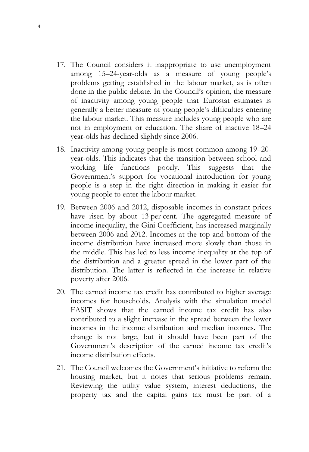- 17. The Council considers it inappropriate to use unemployment among 15–24-year-olds as a measure of young people's problems getting established in the labour market, as is often done in the public debate. In the Council's opinion, the measure of inactivity among young people that Eurostat estimates is generally a better measure of young people's difficulties entering the labour market. This measure includes young people who are not in employment or education. The share of inactive 18–24 year-olds has declined slightly since 2006.
- 18. Inactivity among young people is most common among 19–20 year-olds. This indicates that the transition between school and working life functions poorly. This suggests that the Government's support for vocational introduction for young people is a step in the right direction in making it easier for young people to enter the labour market.
- 19. Between 2006 and 2012, disposable incomes in constant prices have risen by about 13 per cent. The aggregated measure of income inequality, the Gini Coefficient, has increased marginally between 2006 and 2012. Incomes at the top and bottom of the income distribution have increased more slowly than those in the middle. This has led to less income inequality at the top of the distribution and a greater spread in the lower part of the distribution. The latter is reflected in the increase in relative poverty after 2006.
- 20. The earned income tax credit has contributed to higher average incomes for households. Analysis with the simulation model FASIT shows that the earned income tax credit has also contributed to a slight increase in the spread between the lower incomes in the income distribution and median incomes. The change is not large, but it should have been part of the Government's description of the earned income tax credit's income distribution effects.
- 21. The Council welcomes the Government's initiative to reform the housing market, but it notes that serious problems remain. Reviewing the utility value system, interest deductions, the property tax and the capital gains tax must be part of a